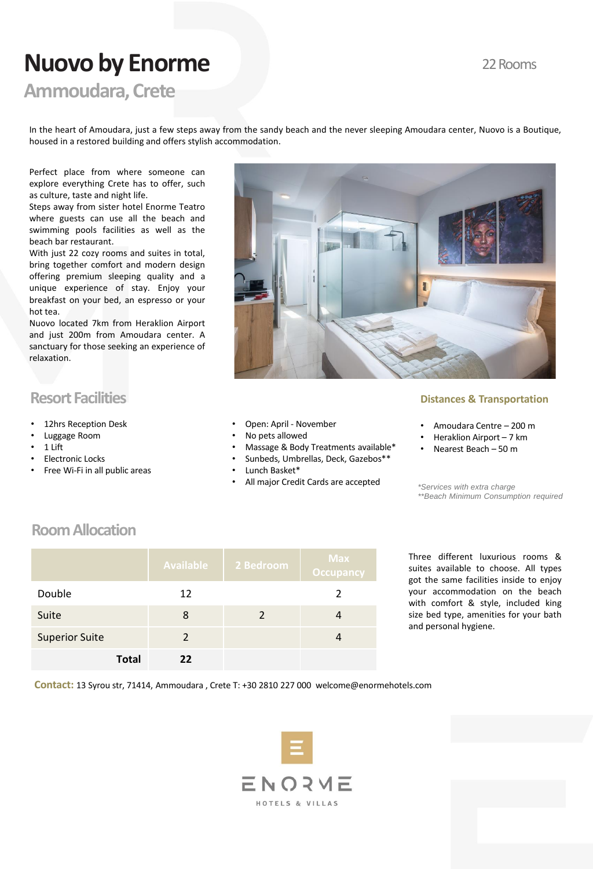### 22 Rooms

# **Nuovo by Enorme**

**Ammoudara, Crete**

In the heart of Amoudara, just a few steps away from the sandy beach and the never sleeping Amoudara center, Nuovo is a Boutique, housed in a restored building and offers stylish accommodation.

Perfect place from where someone can explore everything Crete has to offer, such as culture, taste and night life.

Steps away from sister hotel Enorme Teatro where guests can use all the beach and swimming pools facilities as well as the beach bar restaurant.

With just 22 cozy rooms and suites in total, bring together comfort and modern design offering premium sleeping quality and a unique experience of stay. Enjoy your breakfast on your bed, an espresso or your hot tea.

Nuovo located 7km from Heraklion Airport and just 200m from Amoudara center. A sanctuary for those seeking an experience of relaxation.

# **Resort Facilities**

- 12hrs Reception Desk
- Luggage Room
- 1 Lift
- Electronic Locks
- Free Wi-Fi in all public areas
- Open: April November
- No pets allowed
- Massage & Body Treatments available\*
- Sunbeds, Umbrellas, Deck, Gazebos\*\*
- Lunch Basket\*
- All major Credit Cards are accepted *\*Services with extra charge*

### **Distances & Transportation**

- Amoudara Centre 200 m
- Heraklion Airport 7 km
- Nearest Beach 50 m

*\*\*Beach Minimum Consumption required* 

# **Room Allocation**

|                       |              | <b>Available</b> | 2 Bedroom     | <b>Max</b><br><b>Occupancy</b> |
|-----------------------|--------------|------------------|---------------|--------------------------------|
| Double                |              | 12               |               | $\mathcal{P}$                  |
| Suite                 |              | 8                | $\mathcal{P}$ |                                |
| <b>Superior Suite</b> |              | $\mathcal{P}$    |               |                                |
|                       | <b>Total</b> | 22               |               |                                |

Three different luxurious rooms & suites available to choose. All types got the same facilities inside to enjoy your accommodation on the beach with comfort & style, included king size bed type, amenities for your bath and personal hygiene.

**Contact:** 13 Syrou str, 71414, Ammoudara , Crete T: +30 2810 227 000 welcome@enormehotels.com

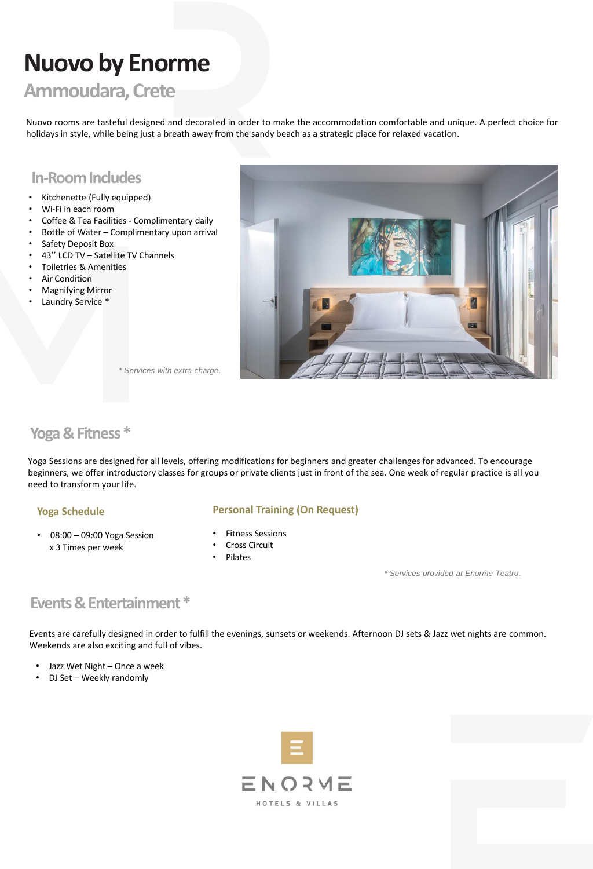# **Nuovo by Enorme**

# **Ammoudara, Crete**

Nuovo rooms are tasteful designed and decorated in order to make the accommodation comfortable and unique. A perfect choice for holidays in style, while being just a breath away from the sandy beach as a strategic place for relaxed vacation.

### **In-Room Includes**

- Kitchenette (Fully equipped)
- Wi-Fi in each room
- Coffee & Tea Facilities Complimentary daily
- Bottle of Water Complimentary upon arrival
- Safety Deposit Box
- 43'' LCD TV Satellite TV Channels
- Toiletries & Amenities
- **Air Condition**
- Magnifying Mirror
- Laundry Service \*



*\* Services with extra charge.*

### **Yoga & Fitness \***

Yoga Sessions are designed for all levels, offering modifications for beginners and greater challenges for advanced. To encourage beginners, we offer introductory classes for groups or private clients just in front of the sea. One week of regular practice is all you need to transform your life.

### **Yoga Schedule**

• 08:00 – 09:00 Yoga Session x 3 Times per week

#### **Personal Training (On Request)**

- Fitness Sessions
- Cross Circuit
- Pilates

*\* Services provided at Enorme Teatro.*

# **Events & Entertainment\***

Events are carefully designed in order to fulfill the evenings, sunsets or weekends. Afternoon DJ sets & Jazz wet nights are common. Weekends are also exciting and full of vibes.

- Jazz Wet Night Once a week
- DJ Set Weekly randomly